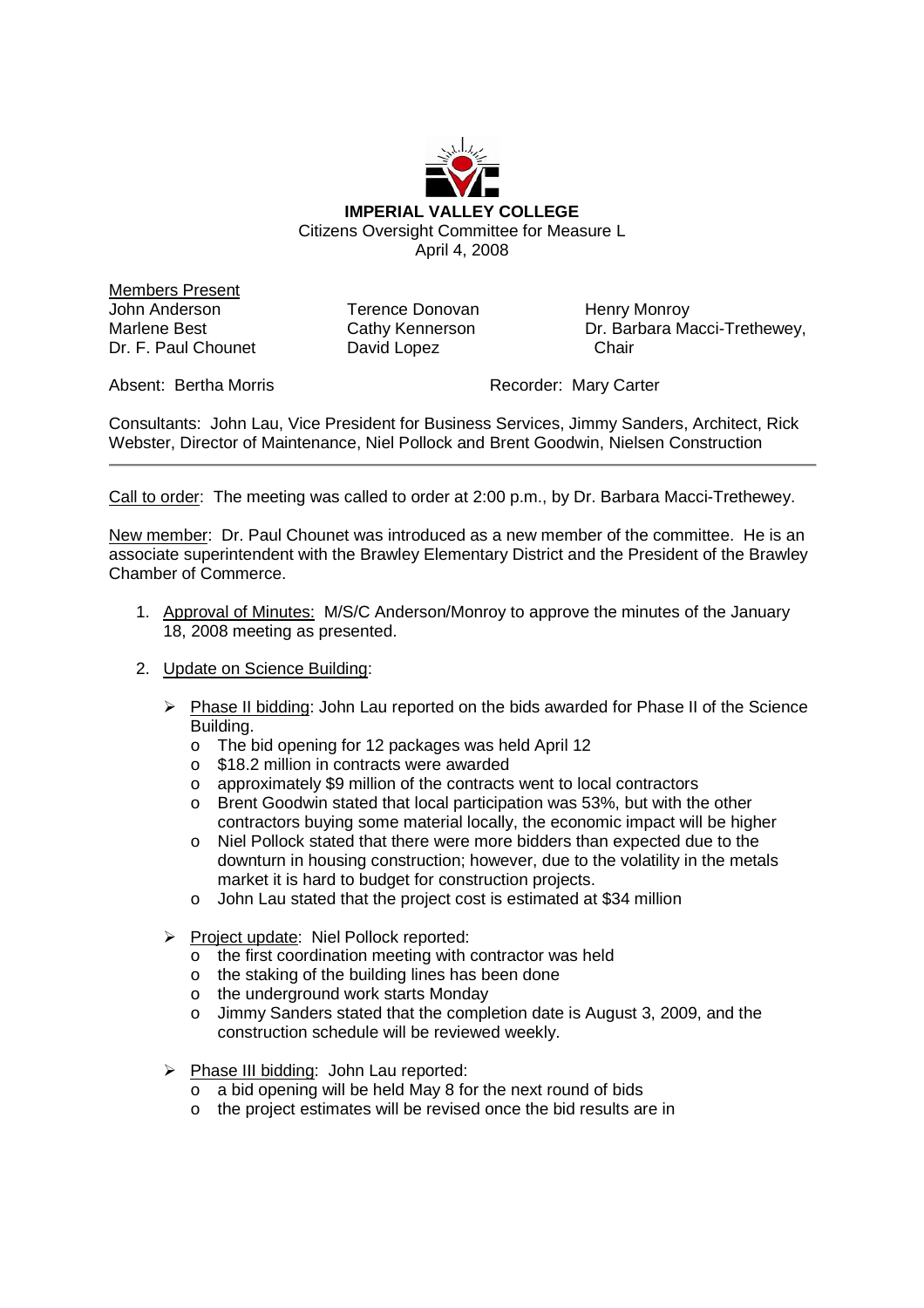

Members Present John Anderson Marlene Best Dr. F. Paul Chounet

Terence Donovan Cathy Kennerson David Lopez

Henry Monroy Dr. Barbara Macci-Trethewey, **Chair** 

Absent: Bertha Morris **Recorder: Mary Carter** 

Consultants: John Lau, Vice President for Business Services, Jimmy Sanders, Architect, Rick Webster, Director of Maintenance, Niel Pollock and Brent Goodwin, Nielsen Construction

Call to order: The meeting was called to order at 2:00 p.m., by Dr. Barbara Macci-Trethewey.

New member: Dr. Paul Chounet was introduced as a new member of the committee. He is an associate superintendent with the Brawley Elementary District and the President of the Brawley Chamber of Commerce.

- 1. Approval of Minutes: M/S/C Anderson/Monroy to approve the minutes of the January 18, 2008 meeting as presented.
- 2. Update on Science Building:
	- $\triangleright$  Phase II bidding: John Lau reported on the bids awarded for Phase II of the Science Building.
		- o The bid opening for 12 packages was held April 12
		- o \$18.2 million in contracts were awarded
		- o approximately \$9 million of the contracts went to local contractors
		- o Brent Goodwin stated that local participation was 53%, but with the other contractors buying some material locally, the economic impact will be higher
		- o Niel Pollock stated that there were more bidders than expected due to the downturn in housing construction; however, due to the volatility in the metals market it is hard to budget for construction projects.
		- o John Lau stated that the project cost is estimated at \$34 million
	- Project update: Niel Pollock reported:
		- o the first coordination meeting with contractor was held
		- o the staking of the building lines has been done
		- o the underground work starts Monday
		- o Jimmy Sanders stated that the completion date is August 3, 2009, and the construction schedule will be reviewed weekly.
	- $\triangleright$  Phase III bidding: John Lau reported:
		- o a bid opening will be held May 8 for the next round of bids
		- o the project estimates will be revised once the bid results are in